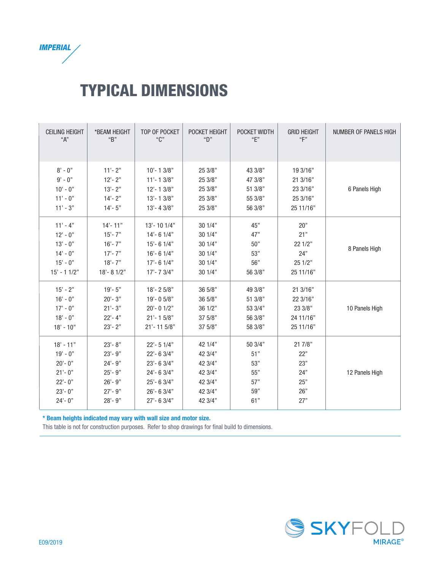

## TYPICAL DIMENSIONS

| <b>CEILING HEIGHT</b> | *BEAM HEIGHT | TOP OF POCKET  | POCKET HEIGHT | POCKET WIDTH | <b>GRID HEIGHT</b> | NUMBER OF PANELS HIGH |
|-----------------------|--------------|----------------|---------------|--------------|--------------------|-----------------------|
| "A"                   | "B"          | "C"            | "D"           | "E"          | "F"                |                       |
| $8' - 0''$            | $11' - 2"$   | $10' - 13/8"$  | 25 3/8"       | 43 3/8"      | 19 3/16"           | 6 Panels High         |
| $9' - 0''$            | $12 - 2"$    | $11' - 13/8"$  | 25 3/8"       | 47 3/8"      | 21 3/16"           |                       |
| $10' - 0''$           | $13 - 2"$    | $12 - 13/8$ "  | 25 3/8"       | 51 3/8"      | 23 3/16"           |                       |
| $11' - 0''$           | $14 - 2"$    | $13' - 13/8"$  | 25 3/8"       | 55 3/8"      | 25 3/16"           |                       |
| $11' - 3''$           | $14 - 5"$    | $13' - 43/8''$ | 25 3/8"       | 56 3/8"      | 25 11/16"          |                       |
| $11' - 4''$           | $14' - 11''$ | $13' - 101/4"$ | 30 1/4"       | 45"          | 20"                | 8 Panels High         |
| $12' - 0''$           | $15 - 7"$    | $14' - 61/4"$  | 301/4"        | 47"          | 21"                |                       |
| $13' - 0''$           | $16 - 7"$    | $15 - 61/4"$   | 301/4"        | 50"          | 22 1/2"            |                       |
| $14' - 0''$           | $17' - 7''$  | $16' - 61/4"$  | 301/4"        | 53"          | 24"                |                       |
| $15' - 0''$           | $18 - 7"$    | $17' - 61/4"$  | 301/4"        | 56"          | 25 1/2"            |                       |
| $15' - 11/2"$         | $18 - 81/2"$ | $17' - 73/4"$  | 301/4"        | 56 3/8"      | 25 11/16"          |                       |
| $15' - 2"$            | $19' - 5"$   | $18 - 25/8$ "  | 365/8"        | 49 3/8"      | 21 3/16"           | 10 Panels High        |
| $16' - 0''$           | $20 - 3"$    | $19' - 05/8"$  | 36 5/8"       | 51 3/8"      | 22 3/16"           |                       |
| $17' - 0''$           | $21' - 3''$  | $20' - 01/2"$  | 36 1/2"       | 53 3/4"      | 23 3/8"            |                       |
| $18' - 0''$           | $22 - 4"$    | $21' - 15/8"$  | 37 5/8"       | 56 3/8"      | 24 11/16"          |                       |
| $18' - 10''$          | $23 - 2"$    | $21' - 115/8"$ | 375/8"        | 58 3/8"      | 25 11/16"          |                       |
| $18' - 11''$          | $23 - 8"$    | $22 - 51/4$ "  | 42 1/4"       | 50 3/4"      | 21 7/8"            | 12 Panels High        |
| $19' - 0''$           | $23 - 9"$    | $22 - 63/4"$   | 42 3/4"       | 51"          | 22"                |                       |
| $20 - 0$ "            | $24 - 9"$    | $23' - 63/4"$  | 42 3/4"       | 53"          | 23"                |                       |
| $21 - 0"$             | $25 - 9"$    | $24 - 63/4"$   | 42 3/4"       | 55"          | 24"                |                       |
| $22 - 0$ "            | $26 - 9"$    | $25 - 63/4"$   | 42 3/4"       | 57"          | 25"                |                       |
| $23 - 0$ "            | $27 - 9"$    | $26 - 63/4"$   | 42 3/4"       | 59"          | 26"                |                       |
| $24 - 0$ "            | $28 - 9"$    | $27' - 63/4"$  | 42 3/4"       | 61"          | 27"                |                       |

\* Beam heights indicated may vary with wall size and motor size.

This table is not for construction purposes. Refer to shop drawings for final build to dimensions.